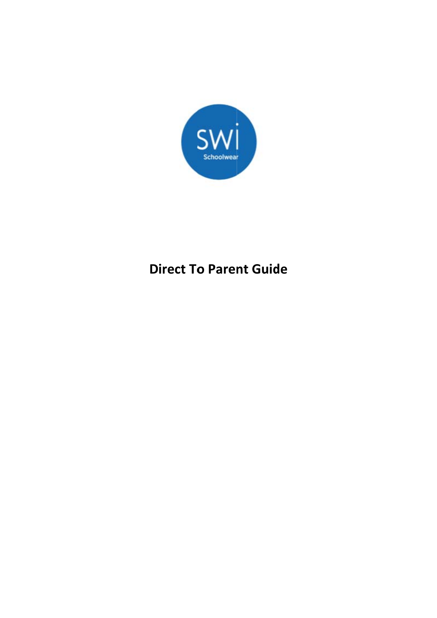

# **Direct To Parent Guide**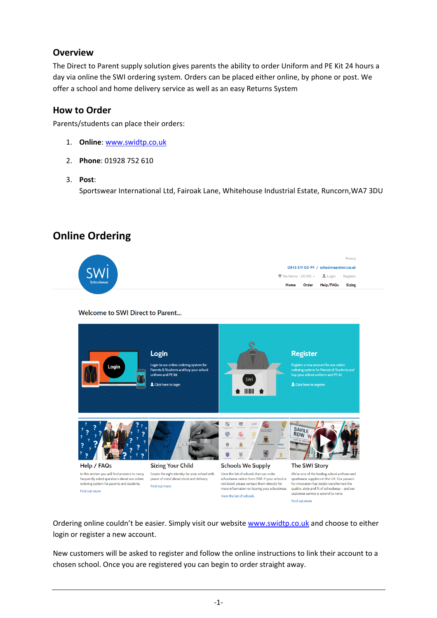#### **Overview**

The Direct to Parent supply solution gives parents the ability to order Uniform and PE Kit 24 hours a day via online the SWI ordering system. Orders can be placed either online, by phone or post. We offer a school and home delivery service as well as an easy Returns System

#### **How to Order**

Parents/students can place their orders:

- 1. **Online**: www.swidtp.co.uk
- 2. **Phone**: 01928 752 610
- 3. **Post**:

Sportswear International Ltd, Fairoak Lane, Whitehouse Industrial Estate, Runcorn,WA7 3DU

# **Online Ordering**



Welcome to SWI Direct to Parent...



Ordering online couldn't be easier. Simply visit our website www.swidtp.co.uk and choose to either login or register a new account.

New customers will be asked to register and follow the online instructions to link their account to a chosen school. Once you are registered you can begin to order straight away.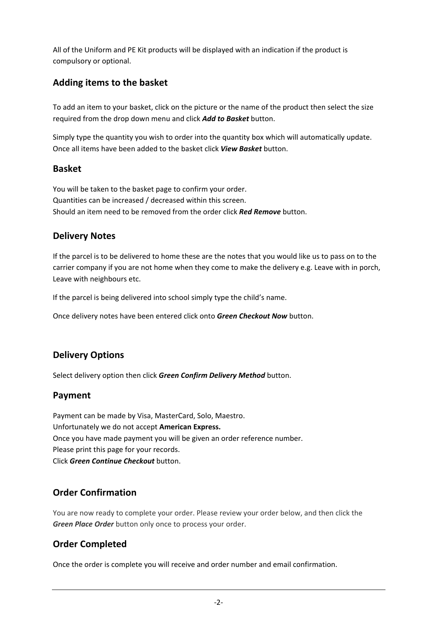All of the Uniform and PE Kit products will be displayed with an indication if the product is compulsory or optional.

# **Adding items to the basket**

To add an item to your basket, click on the picture or the name of the product then select the size required from the drop down menu and click *Add to Basket* button.

Simply type the quantity you wish to order into the quantity box which will automatically update. Once all items have been added to the basket click *View Basket* button.

#### **Basket**

You will be taken to the basket page to confirm your order. Quantities can be increased / decreased within this screen. Should an item need to be removed from the order click *Red Remove* button.

# **Delivery Notes**

If the parcel is to be delivered to home these are the notes that you would like us to pass on to the carrier company if you are not home when they come to make the delivery e.g. Leave with in porch, Leave with neighbours etc.

If the parcel is being delivered into school simply type the child's name.

Once delivery notes have been entered click onto *Green Checkout Now* button.

# **Delivery Options**

Select delivery option then click *Green Confirm Delivery Method* button.

# **Payment**

Payment can be made by Visa, MasterCard, Solo, Maestro. Unfortunately we do not accept **American Express.** Once you have made payment you will be given an order reference number. Please print this page for your records. Click *Green Continue Checkout* button.

# **Order Confirmation**

You are now ready to complete your order. Please review your order below, and then click the *Green Place Order* button only once to process your order.

# **Order Completed**

Once the order is complete you will receive and order number and email confirmation.